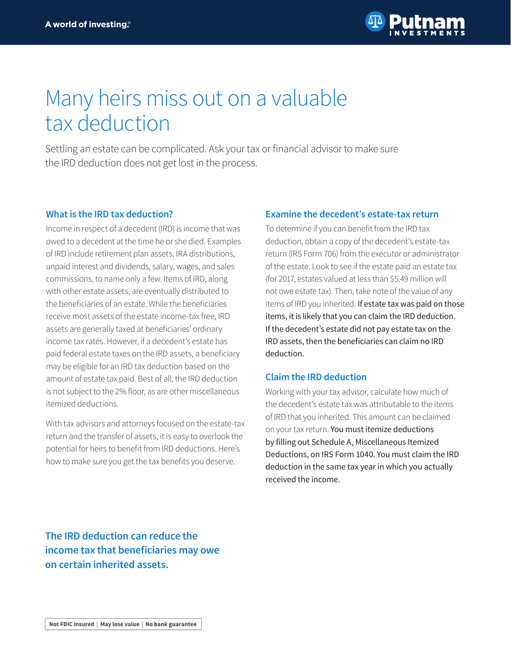

# Many heirs miss out on a valuable tax deduction

Settling an estate can be complicated. Ask your tax or financial advisor to make sure the IRD deduction does not get lost in the process.

#### **What is the IRD tax deduction?**

Income in respect of a decedent (IRD) is income that was owed to a decedent at the time he or she died. Examples of IRD include retirement plan assets, IRA distributions, unpaid interest and dividends, salary, wages, and sales commissions, to name only a few. Items of IRD, along with other estate assets, are eventually distributed to the beneficiaries of an estate. While the beneficiaries receive most assets of the estate income-tax free, IRD assets are generally taxed at beneficiaries' ordinary income tax rates. However, if a decedent's estate has paid federal estate taxes on the IRD assets, a beneficiary may be eligible for an IRD tax deduction based on the amount of estate tax paid. Best of all, the IRD deduction is not subject to the 2% floor, as are other miscellaneous itemized deductions.

With tax advisors and attorneys focused on the estate-tax return and the transfer of assets, it is easy to overlook the potential for heirs to benefit from IRD deductions. Here's how to make sure you get the tax benefits you deserve.

#### **Examine the decedent's estate-tax return**

To determine if you can benefit from the IRD tax deduction, obtain a copy of the decedent's estate-tax return (IRS Form 706) from the executor or administrator of the estate. Look to see if the estate paid an estate tax (for 2017, estates valued at less than \$5.49 million will not owe estate tax). Then, take note of the value of any items of IRD you inherited. If estate tax was paid on those items, it is likely that you can claim the IRD deduction. If the decedent's estate did not pay estate tax on the IRD assets, then the beneficiaries can claim no IRD deduction.

#### **Claim the IRD deduction**

Working with your tax advisor, calculate how much of the decedent's estate tax was attributable to the items of IRD that you inherited. This amount can be claimed on your tax return. You must itemize deductions by filling out Schedule A, Miscellaneous Itemized Deductions, on IRS Form 1040. You must claim the IRD deduction in the same tax year in which you actually received the income.

**The IRD deduction can reduce the income tax that beneficiaries may owe on certain inherited assets.**